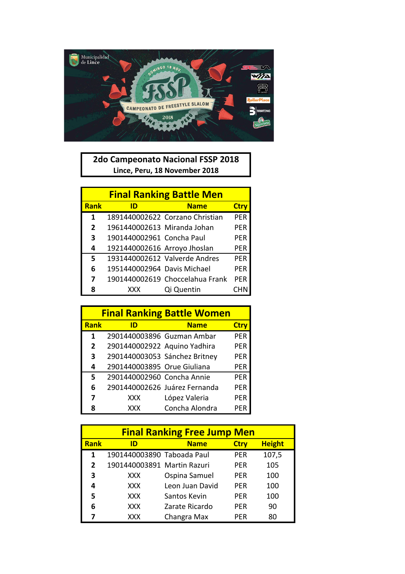

**2do Campeonato Nacional FSSP 2018 Lince, Peru, 18 November 2018**

| <b>Final Ranking Battle Men</b> |                              |                                 |            |  |
|---------------------------------|------------------------------|---------------------------------|------------|--|
| <b>Rank</b>                     | ID                           | <b>Name</b>                     | Ctry       |  |
| 1                               |                              | 1891440002622 Corzano Christian | PFR        |  |
| $\mathbf{2}$                    | 1961440002613 Miranda Johan  |                                 | PFR        |  |
| 3                               | 1901440002961 Concha Paul    |                                 | PFR        |  |
| 4                               | 1921440002616 Arroyo Jhoslan |                                 | PER        |  |
| 5                               |                              | 1931440002612 Valverde Andres   | <b>PFR</b> |  |
| 6                               | 1951440002964 Davis Michael  |                                 | <b>PFR</b> |  |
| 7                               |                              | 1901440002619 Choccelahua Frank | <b>PFR</b> |  |
| 8                               | XXX                          | Qi Quentin                      |            |  |

|                | <b>Final Ranking Battle Women</b> |                               |             |  |  |
|----------------|-----------------------------------|-------------------------------|-------------|--|--|
| <b>Rank</b>    | ID                                | <b>Name</b>                   | <b>Ctry</b> |  |  |
| 1              | 2901440003896 Guzman Ambar        |                               | <b>PER</b>  |  |  |
| $\overline{2}$ | 2901440002922 Aquino Yadhira      |                               | <b>PER</b>  |  |  |
| 3              | 2901440003053 Sánchez Britney     |                               | <b>PER</b>  |  |  |
| 4              | 2901440003895 Orue Giuliana       |                               | PER         |  |  |
| 5              | 2901440002960 Concha Annie        |                               | <b>PER</b>  |  |  |
| 6              |                                   | 2901440002626 Juárez Fernanda | <b>PER</b>  |  |  |
| 7              | <b>XXX</b>                        | López Valeria                 | <b>PER</b>  |  |  |
| 8              | <b>XXX</b>                        | Concha Alondra                | PFR         |  |  |

|                | <b>Final Ranking Free Jump Men</b> |                 |             |               |
|----------------|------------------------------------|-----------------|-------------|---------------|
| <b>Rank</b>    | ID                                 | <b>Name</b>     | <b>Ctry</b> | <b>Height</b> |
| 1              | 1901440003890 Taboada Paul         |                 | <b>PER</b>  | 107,5         |
| $\overline{2}$ | 1901440003891 Martin Razuri        |                 | PER         | 105           |
| 3              | <b>XXX</b>                         | Ospina Samuel   | <b>PER</b>  | 100           |
| 4              | XXX.                               | Leon Juan David | <b>PER</b>  | 100           |
| 5              | XXX.                               | Santos Kevin    | PER         | 100           |
| 6              | <b>XXX</b>                         | Zarate Ricardo  | <b>PER</b>  | 90            |
| 7              | <b>XXX</b>                         | Changra Max     | PFR         | 80            |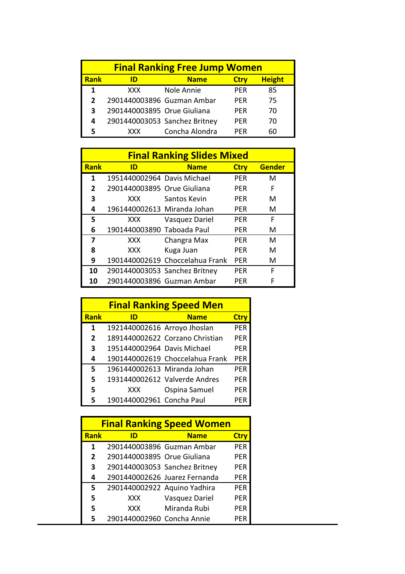|                | <b>Final Ranking Free Jump Women</b> |                |             |               |
|----------------|--------------------------------------|----------------|-------------|---------------|
| <b>Rank</b>    | ID                                   | <b>Name</b>    | <b>Ctry</b> | <b>Height</b> |
|                | XXX.                                 | Nole Annie     | <b>PFR</b>  | 85            |
| $\overline{2}$ | 2901440003896 Guzman Ambar           |                | <b>PFR</b>  | 75            |
| 3              | 2901440003895 Orue Giuliana          |                | PFR         | 70            |
| 4              | 2901440003053 Sanchez Britney        |                | <b>PFR</b>  | 70            |
|                | <b>XXX</b>                           | Concha Alondra | PFR         |               |

|              | <b>Final Ranking Slides Mixed</b> |                                 |             |               |
|--------------|-----------------------------------|---------------------------------|-------------|---------------|
| <b>Rank</b>  | ID                                | <b>Name</b>                     | <b>Ctry</b> | <b>Gender</b> |
| 1            | 1951440002964 Davis Michael       |                                 | <b>PFR</b>  | м             |
| $\mathbf{2}$ | 2901440003895 Orue Giuliana       |                                 | <b>PFR</b>  | F             |
| 3            | XXX.                              | Santos Kevin                    | <b>PFR</b>  | м             |
| 4            | 1961440002613 Miranda Johan       |                                 | <b>PFR</b>  | м             |
| 5            | XXX.                              | Vasquez Dariel                  | <b>PFR</b>  | F             |
| 6            | 1901440003890 Taboada Paul        |                                 | PFR         | м             |
| 7            | XXX.                              | Changra Max                     | PFR         | м             |
| 8            | XXX                               | Kuga Juan                       | <b>PFR</b>  | м             |
| 9            |                                   | 1901440002619 Choccelahua Frank | <b>PER</b>  | м             |
| 10           | 2901440003053 Sanchez Britney     |                                 | PFR         | F             |
| 10           | 2901440003896 Guzman Ambar        |                                 | <b>PFR</b>  | F             |

|                | <b>Final Ranking Speed Men</b> |                                 |             |  |
|----------------|--------------------------------|---------------------------------|-------------|--|
| <b>Rank</b>    | ID                             | <b>Name</b>                     | <b>Ctry</b> |  |
| 1              | 1921440002616 Arroyo Jhoslan   |                                 | PER         |  |
| $\overline{2}$ |                                | 1891440002622 Corzano Christian | PFR         |  |
| 3              | 1951440002964 Davis Michael    |                                 | PFR         |  |
| 4              |                                | 1901440002619 Choccelahua Frank | PER         |  |
| 5              | 1961440002613 Miranda Johan    |                                 | PFR         |  |
| 5              |                                | 1931440002612 Valverde Andres   | PFR         |  |
| 5              | <b>XXX</b>                     | Ospina Samuel                   | PER         |  |
| 5              | 1901440002961 Concha Paul      |                                 | PFR         |  |

| <b>Final Ranking Speed Women</b> |                               |                               |             |
|----------------------------------|-------------------------------|-------------------------------|-------------|
| <b>Rank</b>                      | ID                            | <b>Name</b>                   | <b>Ctry</b> |
| 1                                | 2901440003896 Guzman Ambar    |                               | <b>PER</b>  |
| $\overline{2}$                   | 2901440003895 Orue Giuliana   |                               | PER         |
| 3                                | 2901440003053 Sanchez Britney |                               | <b>PER</b>  |
| 4                                |                               | 2901440002626 Juarez Fernanda | PER         |
| 5                                | 2901440002922 Aquino Yadhira  |                               | <b>PER</b>  |
| 5                                | <b>XXX</b>                    | Vasquez Dariel                | <b>PER</b>  |
| 5                                | XXX                           | Miranda Rubi                  | PER         |
|                                  | 2901440002960 Concha Annie    |                               | PFR         |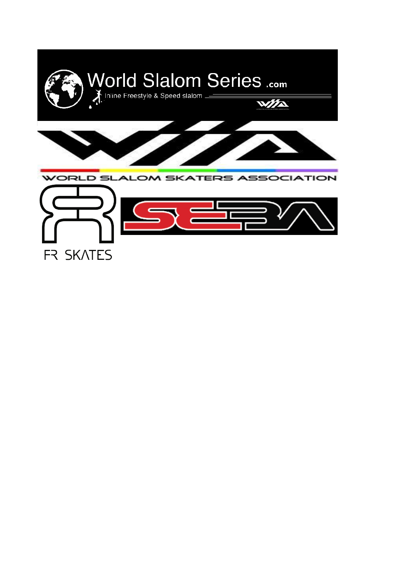